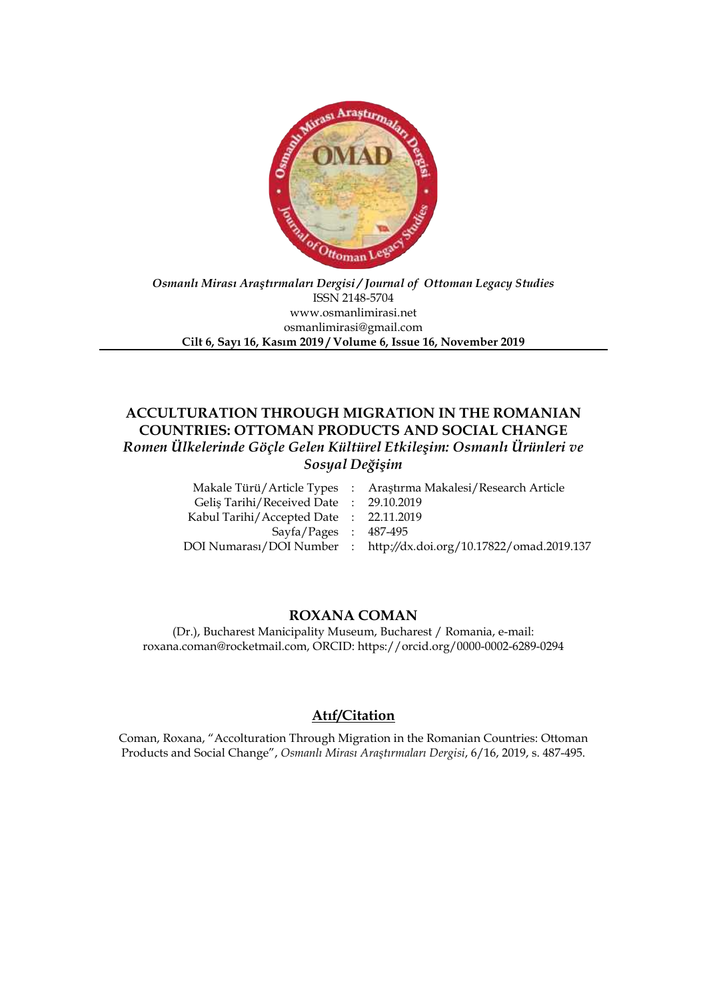

### *Osmanlı Mirası Araştırmaları Dergisi / Journal of Ottoman Legacy Studies* ISSN 2148-5704 www.osmanlimirasi.net osmanlimirasi@gmail.com **Cilt 6, Sayı 16, Kasım 2019 / Volume 6, Issue 16, November 2019**

# **ACCULTURATION THROUGH MIGRATION IN THE ROMANIAN COUNTRIES: OTTOMAN PRODUCTS AND SOCIAL CHANGE** *Romen Ülkelerinde Göçle Gelen Kültürel Etkileşim: Osmanlı Ürünleri ve Sosyal Değişim*

Araştırma Makalesi/Research Article 29.10.2019 22.11.2019 487-495 http*://*dx*.*doi*.*org/10.17822/omad.2019.137

## **ROXANA COMAN**

(Dr.), Bucharest Manicipality Museum, Bucharest / Romania, e-mail: roxana.coman@rocketmail.com, ORCID: https://orcid.org/0000-0002-6289-0294

## **Atıf/Citation**

Coman, Roxana, "Accolturation Through Migration in the Romanian Countries: Ottoman Products and Social Change", *Osmanlı Mirası Araştırmaları Dergisi*, 6/16, 2019, s. 487-495.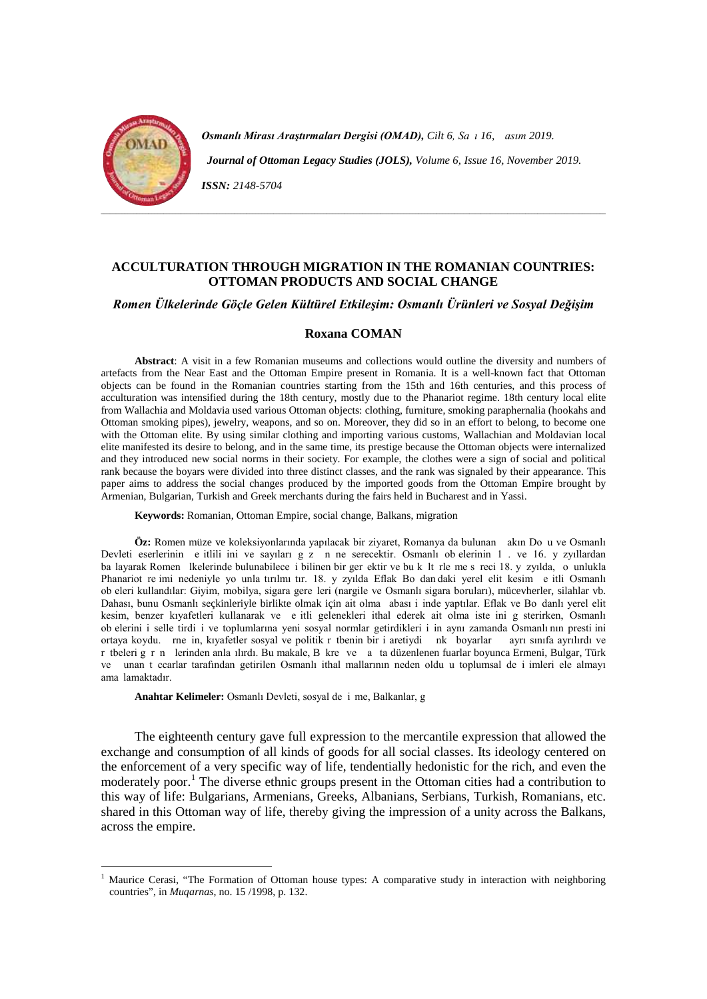

-

**Osmanlı Mirası Araştırmaları Dergisi (OMAD),** Cilt 6, Sa ı 16, asım 2019.  *Journal of Ottoman Legacy Studies (JOLS), Volume 6, Issue 16, November 2019. ISSN: 2148-5704*

### **ACCULTURATION THROUGH MIGRATION IN THE ROMANIAN COUNTRIES: OTTOMAN PRODUCTS AND SOCIAL CHANGE**

### *Romen Ülkelerinde Göçle Gelen Kültürel Etkileşim: Osmanlı Ürünleri ve Sosyal Değişim*

#### **Roxana COMAN**

**Abstract**: A visit in a few Romanian museums and collections would outline the diversity and numbers of artefacts from the Near East and the Ottoman Empire present in Romania. It is a well-known fact that Ottoman objects can be found in the Romanian countries starting from the 15th and 16th centuries, and this process of acculturation was intensified during the 18th century, mostly due to the Phanariot regime. 18th century local elite from Wallachia and Moldavia used various Ottoman objects: clothing, furniture, smoking paraphernalia (hookahs and Ottoman smoking pipes), jewelry, weapons, and so on. Moreover, they did so in an effort to belong, to become one with the Ottoman elite. By using similar clothing and importing various customs, Wallachian and Moldavian local elite manifested its desire to belong, and in the same time, its prestige because the Ottoman objects were internalized and they introduced new social norms in their society. For example, the clothes were a sign of social and political rank because the boyars were divided into three distinct classes, and the rank was signaled by their appearance. This paper aims to address the social changes produced by the imported goods from the Ottoman Empire brought by Armenian, Bulgarian, Turkish and Greek merchants during the fairs held in Bucharest and in Yassi.

**Keywords:** Romanian, Ottoman Empire, social change, Balkans, migration

Öz: Romen müze ve koleksiyonlarında yapılacak bir ziyaret, Romanya da bulunan akın Do u ve Osmanlı Devleti eserlerinin e itlili ini ve sayıları göz n ne serecektir. Osmanlı ob elerinin 1. ve 16. yüzyıllardan ba layarak Romen lkelerinde bulunabilece i bilinen bir ger ektir ve bu k lt rle me s reci 18. y zvılda, o unlukla Phanariot rejmi nedeniyle yo unla tırılmı tır. 18. y zyılda Eflak Boğdan daki yerel elit kesim e itli Osmanlı ob eleri kullandılar: Giyim, mobilya, sigara gere leri (nargile ve Osmanlı sigara boruları), mücevherler, silahlar vb. Dahası, bunu Osmanlı seçkinleriyle birlikte olmak için ait olma abası i inde yaptılar. Eflak ve Bo danlı yerel elit kesim, benzer kıyafetleri kullanarak ve e itli gelenekleri ithal ederek ait olma iste ini gösterirken, Osmanlı ob elerini i selle tirdi i ve toplumlarına yeni sosyal normlar getirdikleri i in aynı zamanda Osmanlı'nın presti ini ortaya koydu. me in, kıyafetler sosyal ve politik r tbenin bir i aretiydi nk boyarlar ayrı sınıfa ayrılırdı ve r tbeleri grn lerinden anla ılırdı. Bu makale, B kre ve a ta düzenlenen fuarlar boyunca Ermeni, Bulgar, Türk ve unan t ccarlar tarafından getirilen Osmanlı ithal mallarının neden oldu u toplumsal de i imleri ele almayı ama lamaktadır.

**Anahtar Kelimeler:** Osmanlı Devleti, sosyal de i me, Balkanlar, g

The eighteenth century gave full expression to the mercantile expression that allowed the exchange and consumption of all kinds of goods for all social classes. Its ideology centered on the enforcement of a very specific way of life, tendentially hedonistic for the rich, and even the moderately poor.<sup>[1](#page-2-0)</sup> The diverse ethnic groups present in the Ottoman cities had a contribution to this way of life: Bulgarians, Armenians, Greeks, Albanians, Serbians, Turkish, Romanians, etc. shared in this Ottoman way of life, thereby giving the impression of a unity across the Balkans, across the empire.

<span id="page-2-0"></span><sup>1</sup> Maurice Cerasi, "The Formation of Ottoman house types: A comparative study in interaction with neighboring countries", in *Muqarnas*, no. 15 /1998, p. 132.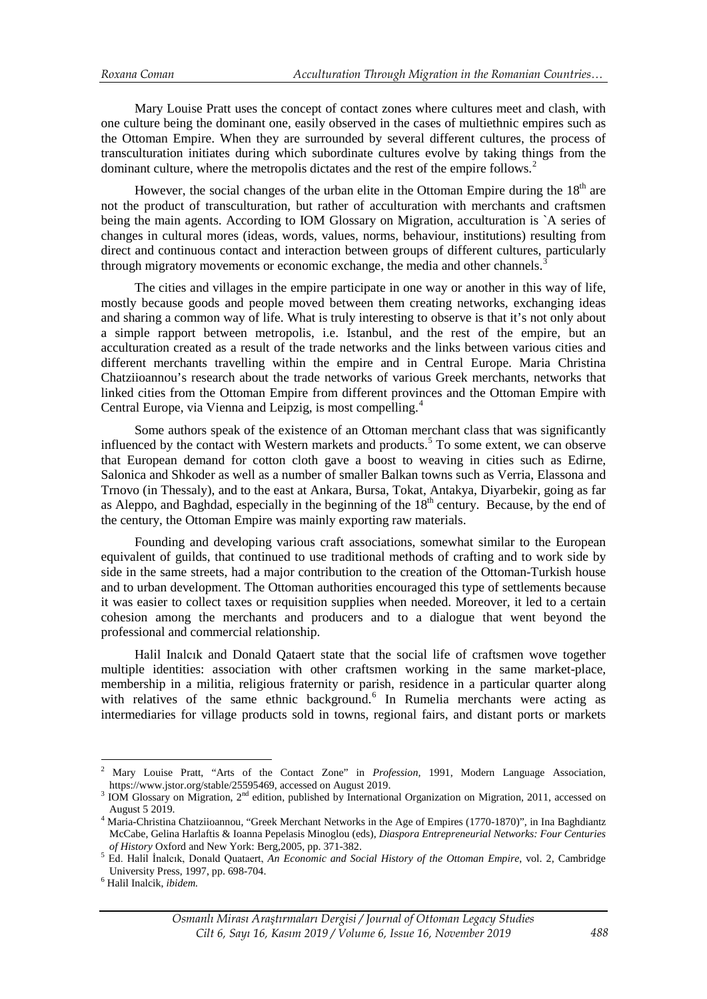Mary Louise Pratt uses the concept of contact zones where cultures meet and clash, with one culture being the dominant one, easily observed in the cases of multiethnic empires such as the Ottoman Empire. When they are surrounded by several different cultures, the process of transculturation initiates during which subordinate cultures evolve by taking things from the dominant culture, where the metropolis dictates and the rest of the empire follows.<sup>[2](#page-3-0)</sup>

However, the social changes of the urban elite in the Ottoman Empire during the  $18<sup>th</sup>$  are not the product of transculturation, but rather of acculturation with merchants and craftsmen being the main agents. According to IOM Glossary on Migration, acculturation is `A series of changes in cultural mores (ideas, words, values, norms, behaviour, institutions) resulting from direct and continuous contact and interaction between groups of different cultures, particularly through migratory movements or economic exchange, the media and other channels.<sup>[3](#page-3-1)</sup>

The cities and villages in the empire participate in one way or another in this way of life, mostly because goods and people moved between them creating networks, exchanging ideas and sharing a common way of life. What is truly interesting to observe is that it's not only about a simple rapport between metropolis, i.e. Istanbul, and the rest of the empire, but an acculturation created as a result of the trade networks and the links between various cities and different merchants travelling within the empire and in Central Europe. Maria Christina Chatziioannou's research about the trade networks of various Greek merchants, networks that linked cities from the Ottoman Empire from different provinces and the Ottoman Empire with Central Europe, via Vienna and Leipzig, is most compelling.[4](#page-3-2)

Some authors speak of the existence of an Ottoman merchant class that was significantly influenced by the contact with Western markets and products.<sup>[5](#page-3-3)</sup> To some extent, we can observe that European demand for cotton cloth gave a boost to weaving in cities such as Edirne, Salonica and Shkoder as well as a number of smaller Balkan towns such as Verria, Elassona and Trnovo (in Thessaly), and to the east at Ankara, Bursa, Tokat, Antakya, Diyarbekir, going as far as Aleppo, and Baghdad, especially in the beginning of the  $18<sup>th</sup>$  century. Because, by the end of the century, the Ottoman Empire was mainly exporting raw materials.

Founding and developing various craft associations, somewhat similar to the European equivalent of guilds, that continued to use traditional methods of crafting and to work side by side in the same streets, had a major contribution to the creation of the Ottoman-Turkish house and to urban development. The Ottoman authorities encouraged this type of settlements because it was easier to collect taxes or requisition supplies when needed. Moreover, it led to a certain cohesion among the merchants and producers and to a dialogue that went beyond the professional and commercial relationship.

Halil Inalcık and Donald Qataert state that the social life of craftsmen wove together multiple identities: association with other craftsmen working in the same market-place, membership in a militia, religious fraternity or parish, residence in a particular quarter along with relatives of the same ethnic background.<sup>[6](#page-3-4)</sup> In Rumelia merchants were acting as intermediaries for village products sold in towns, regional fairs, and distant ports or markets

<u>.</u>

<span id="page-3-0"></span><sup>2</sup> Mary Louise Pratt, "Arts of the Contact Zone" in *Profession,* 1991, Modern Language Association,

 $3$  IOM Glossary on Migration,  $2^{nd}$  edition, published by International Organization on Migration, 2011, accessed on

<span id="page-3-2"></span><span id="page-3-1"></span>August 5 2019. <sup>4</sup> Maria-Christina Chatziioannou, "Greek Merchant Networks in the Age of Empires (1770-1870)", in Ina Baghdiantz McCabe, Gelina Harlaftis & Ioanna Pepelasis Minoglou (eds), *Diaspora Entrepreneurial Networks: Four Centuries* 

<span id="page-3-3"></span><sup>&</sup>lt;sup>5</sup> Ed. Halil İnalcık, Donald Quataert, *An Economic and Social History of the Ottoman Empire*, vol. 2, Cambridge University Press, 1997, pp. 698-704. <sup>6</sup> Halil Inalcik, *ibidem.* 

<span id="page-3-4"></span>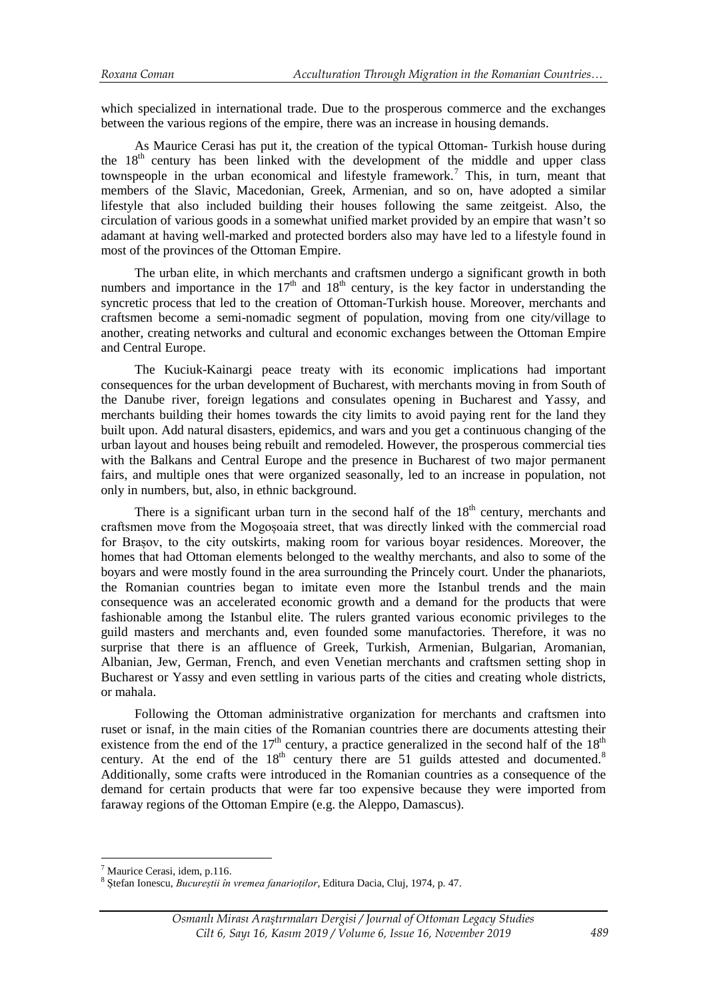which specialized in international trade. Due to the prosperous commerce and the exchanges between the various regions of the empire, there was an increase in housing demands.

As Maurice Cerasi has put it, the creation of the typical Ottoman- Turkish house during the  $18<sup>th</sup>$  century has been linked with the development of the middle and upper class townspeople in the urban economical and lifestyle framework.<sup>[7](#page-4-0)</sup> This, in turn, meant that members of the Slavic, Macedonian, Greek, Armenian, and so on, have adopted a similar lifestyle that also included building their houses following the same zeitgeist. Also, the circulation of various goods in a somewhat unified market provided by an empire that wasn't so adamant at having well-marked and protected borders also may have led to a lifestyle found in most of the provinces of the Ottoman Empire.

The urban elite, in which merchants and craftsmen undergo a significant growth in both numbers and importance in the  $17<sup>th</sup>$  and  $18<sup>th</sup>$  century, is the key factor in understanding the syncretic process that led to the creation of Ottoman-Turkish house. Moreover, merchants and craftsmen become a semi-nomadic segment of population, moving from one city/village to another, creating networks and cultural and economic exchanges between the Ottoman Empire and Central Europe.

The Kuciuk-Kainargi peace treaty with its economic implications had important consequences for the urban development of Bucharest, with merchants moving in from South of the Danube river, foreign legations and consulates opening in Bucharest and Yassy, and merchants building their homes towards the city limits to avoid paying rent for the land they built upon. Add natural disasters, epidemics, and wars and you get a continuous changing of the urban layout and houses being rebuilt and remodeled. However, the prosperous commercial ties with the Balkans and Central Europe and the presence in Bucharest of two major permanent fairs, and multiple ones that were organized seasonally, led to an increase in population, not only in numbers, but, also, in ethnic background.

There is a significant urban turn in the second half of the  $18<sup>th</sup>$  century, merchants and craftsmen move from the Mogoșoaia street, that was directly linked with the commercial road for Brașov, to the city outskirts, making room for various boyar residences. Moreover, the homes that had Ottoman elements belonged to the wealthy merchants, and also to some of the boyars and were mostly found in the area surrounding the Princely court. Under the phanariots, the Romanian countries began to imitate even more the Istanbul trends and the main consequence was an accelerated economic growth and a demand for the products that were fashionable among the Istanbul elite. The rulers granted various economic privileges to the guild masters and merchants and, even founded some manufactories. Therefore, it was no surprise that there is an affluence of Greek, Turkish, Armenian, Bulgarian, Aromanian, Albanian, Jew, German, French, and even Venetian merchants and craftsmen setting shop in Bucharest or Yassy and even settling in various parts of the cities and creating whole districts, or mahala.

Following the Ottoman administrative organization for merchants and craftsmen into ruset or isnaf, in the main cities of the Romanian countries there are documents attesting their existence from the end of the 17<sup>th</sup> century, a practice generalized in the second half of the  $18^{th}$ century. At the end of the  $18<sup>th</sup>$  $18<sup>th</sup>$  $18<sup>th</sup>$  century there are 51 guilds attested and documented.<sup>8</sup> Additionally, some crafts were introduced in the Romanian countries as a consequence of the demand for certain products that were far too expensive because they were imported from faraway regions of the Ottoman Empire (e.g. the Aleppo, Damascus).

<u>.</u>

<span id="page-4-0"></span> $<sup>7</sup>$  Maurice Cerasi, idem, p.116.</sup>

<span id="page-4-1"></span><sup>8</sup> Ștefan Ionescu, *Bucureștii în vremea fanarioților*, Editura Dacia, Cluj, 1974*,* p. 47.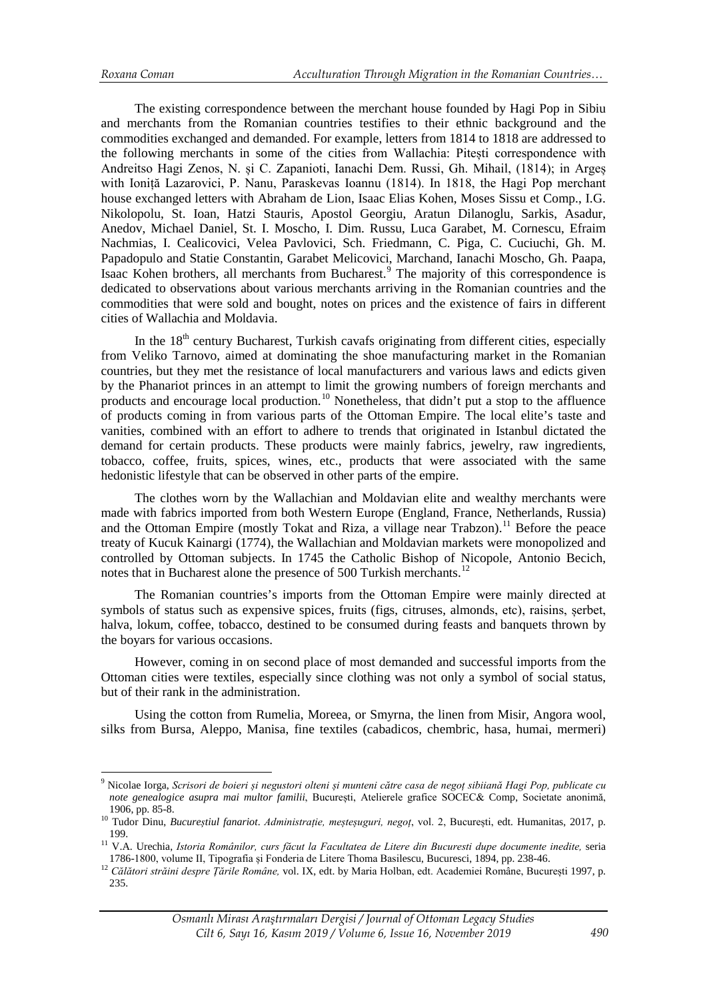<u>.</u>

The existing correspondence between the merchant house founded by Hagi Pop in Sibiu and merchants from the Romanian countries testifies to their ethnic background and the commodities exchanged and demanded. For example, letters from 1814 to 1818 are addressed to the following merchants in some of the cities from Wallachia: Pitești correspondence with Andreitso Hagi Zenos, N. și C. Zapanioti, Ianachi Dem. Russi, Gh. Mihail, (1814); in Argeș with Ioniță Lazarovici, P. Nanu, Paraskevas Ioannu (1814). In 1818, the Hagi Pop merchant house exchanged letters with Abraham de Lion, Isaac Elias Kohen, Moses Sissu et Comp., I.G. Nikolopolu, St. Ioan, Hatzi Stauris, Apostol Georgiu, Aratun Dilanoglu, Sarkis, Asadur, Anedov, Michael Daniel, St. I. Moscho, I. Dim. Russu, Luca Garabet, M. Cornescu, Efraim Nachmias, I. Cealicovici, Velea Pavlovici, Sch. Friedmann, C. Piga, C. Cuciuchi, Gh. M. Papadopulo and Statie Constantin, Garabet Melicovici, Marchand, Ianachi Moscho, Gh. Paapa, Isaac Kohen brothers, all merchants from Bucharest.<sup>[9](#page-5-0)</sup> The majority of this correspondence is dedicated to observations about various merchants arriving in the Romanian countries and the commodities that were sold and bought, notes on prices and the existence of fairs in different cities of Wallachia and Moldavia.

In the  $18<sup>th</sup>$  century Bucharest, Turkish cavafs originating from different cities, especially from Veliko Tarnovo, aimed at dominating the shoe manufacturing market in the Romanian countries, but they met the resistance of local manufacturers and various laws and edicts given by the Phanariot princes in an attempt to limit the growing numbers of foreign merchants and products and encourage local production.[10](#page-5-1) Nonetheless, that didn't put a stop to the affluence of products coming in from various parts of the Ottoman Empire. The local elite's taste and vanities, combined with an effort to adhere to trends that originated in Istanbul dictated the demand for certain products. These products were mainly fabrics, jewelry, raw ingredients, tobacco, coffee, fruits, spices, wines, etc., products that were associated with the same hedonistic lifestyle that can be observed in other parts of the empire.

The clothes worn by the Wallachian and Moldavian elite and wealthy merchants were made with fabrics imported from both Western Europe (England, France, Netherlands, Russia) and the Ottoman Empire (mostly Tokat and Riza, a village near Trabzon).<sup>[11](#page-5-2)</sup> Before the peace treaty of Kucuk Kainargi (1774), the Wallachian and Moldavian markets were monopolized and controlled by Ottoman subjects. In 1745 the Catholic Bishop of Nicopole, Antonio Becich, notes that in Bucharest alone the presence of 500 Turkish merchants.<sup>[12](#page-5-3)</sup>

The Romanian countries's imports from the Ottoman Empire were mainly directed at symbols of status such as expensive spices, fruits (figs, citruses, almonds, etc), raisins, șerbet, halva, lokum, coffee, tobacco, destined to be consumed during feasts and banquets thrown by the boyars for various occasions.

However, coming in on second place of most demanded and successful imports from the Ottoman cities were textiles, especially since clothing was not only a symbol of social status, but of their rank in the administration.

Using the cotton from Rumelia, Moreea, or Smyrna, the linen from Misir, Angora wool, silks from Bursa, Aleppo, Manisa, fine textiles (cabadicos, chembric, hasa, humai, mermeri)

<span id="page-5-0"></span><sup>9</sup> Nicolae Iorga, *Scrisori de boieri și negustori olteni și munteni către casa de negoț sibiiană Hagi Pop, publicate cu note genealogice asupra mai multor familii*, București, Atelierele grafice SOCEC& Comp, Societate anonimă, 1906, pp. 85-8. <sup>10</sup> Tudor Dinu, *Bucureștiul fanariot*. *Administrație, meșteșuguri, negoț*, vol. 2, București, edt. Humanitas, 2017, p.

<span id="page-5-1"></span>

<span id="page-5-2"></span><sup>199.&</sup>lt;br><sup>11</sup> V.A. Urechia, *Istoria Românilor, curs făcut la Facultatea de Litere din Bucuresti dupe documente inedite, seria<br>1786-1800, volume II, Tipografia și Fonderia de Litere Thoma Basilescu, Bucuresci, 1894, pp. 238-46* 

<span id="page-5-3"></span><sup>&</sup>lt;sup>12</sup> Călători străini despre Tările Române, vol. IX, edt. by Maria Holban, edt. Academiei Române, București 1997, p. 235.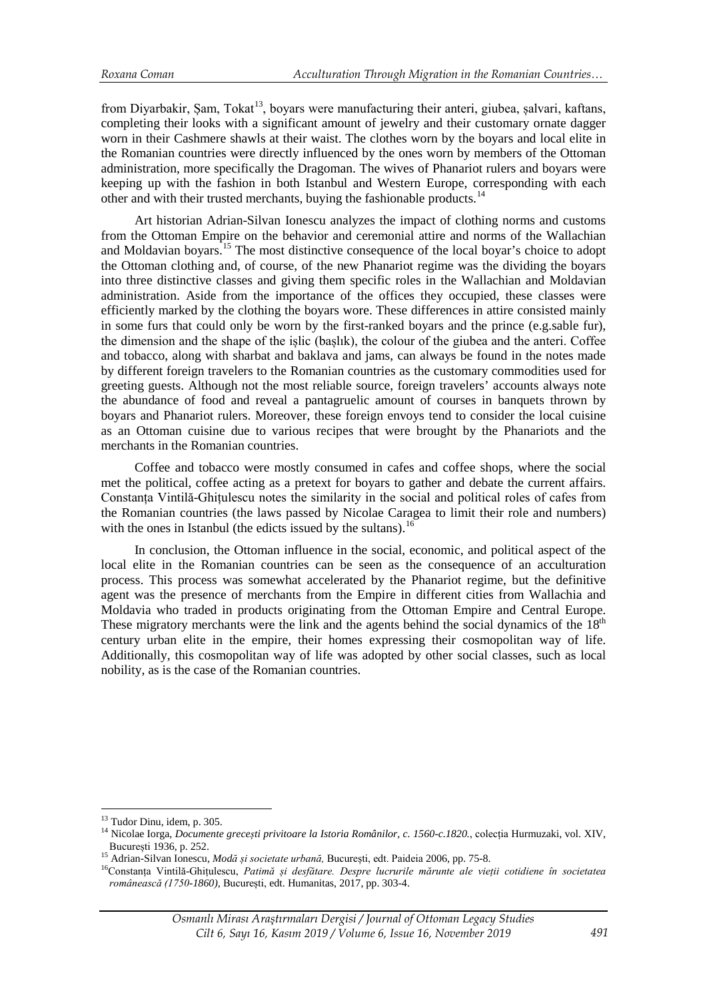from Diyarbakir, Șam, Tokat<sup>[13](#page-6-0)</sup>, boyars were manufacturing their anteri, giubea, șalvari, kaftans, completing their looks with a significant amount of jewelry and their customary ornate dagger worn in their Cashmere shawls at their waist. The clothes worn by the boyars and local elite in the Romanian countries were directly influenced by the ones worn by members of the Ottoman administration, more specifically the Dragoman. The wives of Phanariot rulers and boyars were keeping up with the fashion in both Istanbul and Western Europe, corresponding with each other and with their trusted merchants, buying the fashionable products.<sup>[14](#page-6-1)</sup>

Art historian Adrian-Silvan Ionescu analyzes the impact of clothing norms and customs from the Ottoman Empire on the behavior and ceremonial attire and norms of the Wallachian and Moldavian boyars.<sup>[15](#page-6-2)</sup> The most distinctive consequence of the local boyar's choice to adopt the Ottoman clothing and, of course, of the new Phanariot regime was the dividing the boyars into three distinctive classes and giving them specific roles in the Wallachian and Moldavian administration. Aside from the importance of the offices they occupied, these classes were efficiently marked by the clothing the boyars wore. These differences in attire consisted mainly in some furs that could only be worn by the first-ranked boyars and the prince (e.g.sable fur), the dimension and the shape of the ișlic (bașlık), the colour of the giubea and the anteri. Coffee and tobacco, along with sharbat and baklava and jams, can always be found in the notes made by different foreign travelers to the Romanian countries as the customary commodities used for greeting guests. Although not the most reliable source, foreign travelers' accounts always note the abundance of food and reveal a pantagruelic amount of courses in banquets thrown by boyars and Phanariot rulers. Moreover, these foreign envoys tend to consider the local cuisine as an Ottoman cuisine due to various recipes that were brought by the Phanariots and the merchants in the Romanian countries.

Coffee and tobacco were mostly consumed in cafes and coffee shops, where the social met the political, coffee acting as a pretext for boyars to gather and debate the current affairs. Constanța Vintilă-Ghițulescu notes the similarity in the social and political roles of cafes from the Romanian countries (the laws passed by Nicolae Caragea to limit their role and numbers) with the ones in Istanbul (the edicts issued by the sultans).<sup>[16](#page-6-3)</sup>

In conclusion, the Ottoman influence in the social, economic, and political aspect of the local elite in the Romanian countries can be seen as the consequence of an acculturation process. This process was somewhat accelerated by the Phanariot regime, but the definitive agent was the presence of merchants from the Empire in different cities from Wallachia and Moldavia who traded in products originating from the Ottoman Empire and Central Europe. These migratory merchants were the link and the agents behind the social dynamics of the 18<sup>th</sup> century urban elite in the empire, their homes expressing their cosmopolitan way of life. Additionally, this cosmopolitan way of life was adopted by other social classes, such as local nobility, as is the case of the Romanian countries.

<span id="page-6-0"></span><sup>&</sup>lt;sup>13</sup> Tudor Dinu, idem, p. 305.

<span id="page-6-1"></span><sup>&</sup>lt;sup>14</sup> Nicolae Iorga, *Documente grecești privitoare la Istoria Românilor, c. 1560-c.1820.*, colecția Hurmuzaki, vol. XIV,<br>București 1936. p. 252.

<span id="page-6-3"></span>

<span id="page-6-2"></span><sup>15</sup> Adrian-Silvan Ionescu, Modă și societate urbană, București, edt. Paideia 2006, pp. 75-8.<br><sup>16</sup>Constanța Vintilă-Ghițulescu, *Patimă și desfătare. Despre lucrurile mărunte ale vieții cotidiene în societatea românească (1750-1860),* București, edt. Humanitas, 2017, pp. 303-4.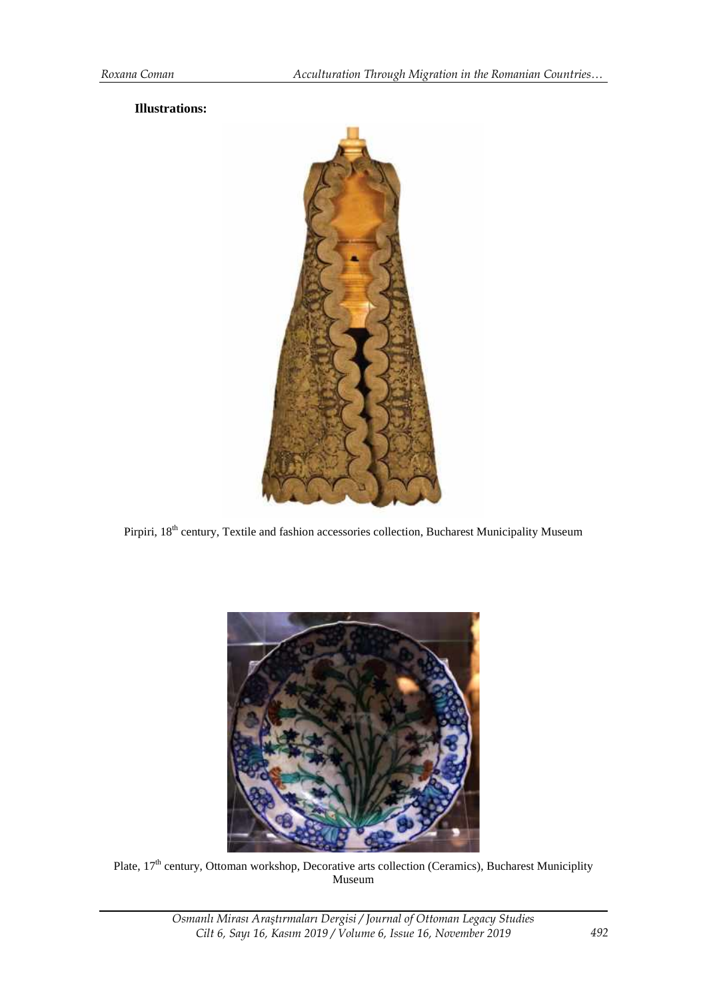## **Illustrations:**



Pirpiri, 18<sup>th</sup> century, Textile and fashion accessories collection, Bucharest Municipality Museum



Plate, 17<sup>th</sup> century, Ottoman workshop, Decorative arts collection (Ceramics), Bucharest Municiplity Museum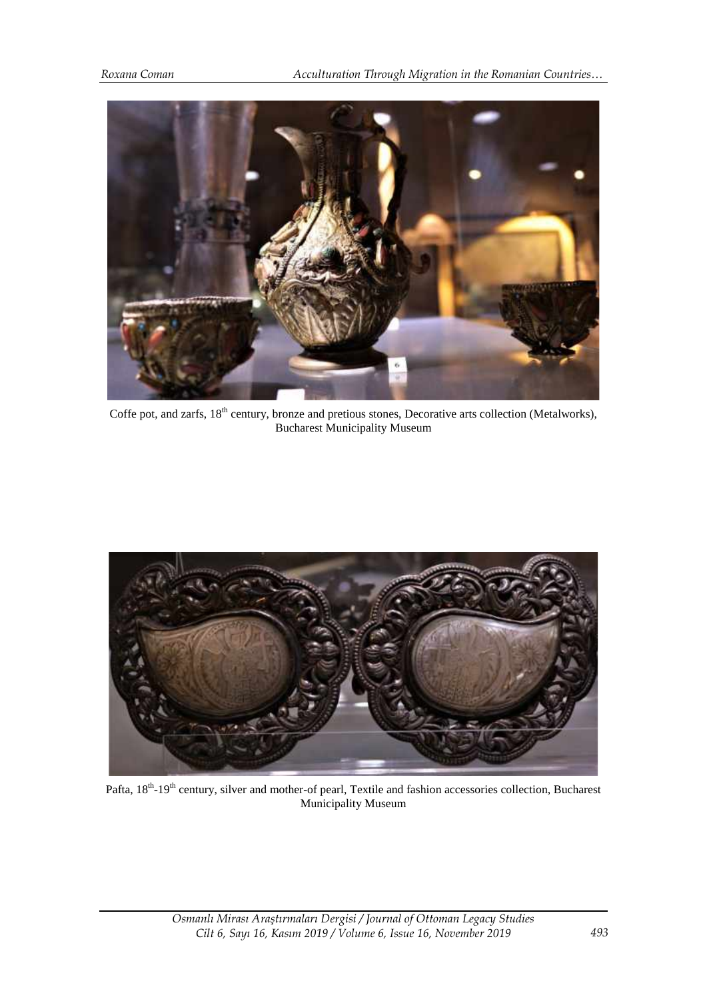

Coffe pot, and zarfs, 18<sup>th</sup> century, bronze and pretious stones, Decorative arts collection (Metalworks), Bucharest Municipality Museum



Pafta, 18<sup>th</sup>-19<sup>th</sup> century, silver and mother-of pearl, Textile and fashion accessories collection, Bucharest Municipality Museum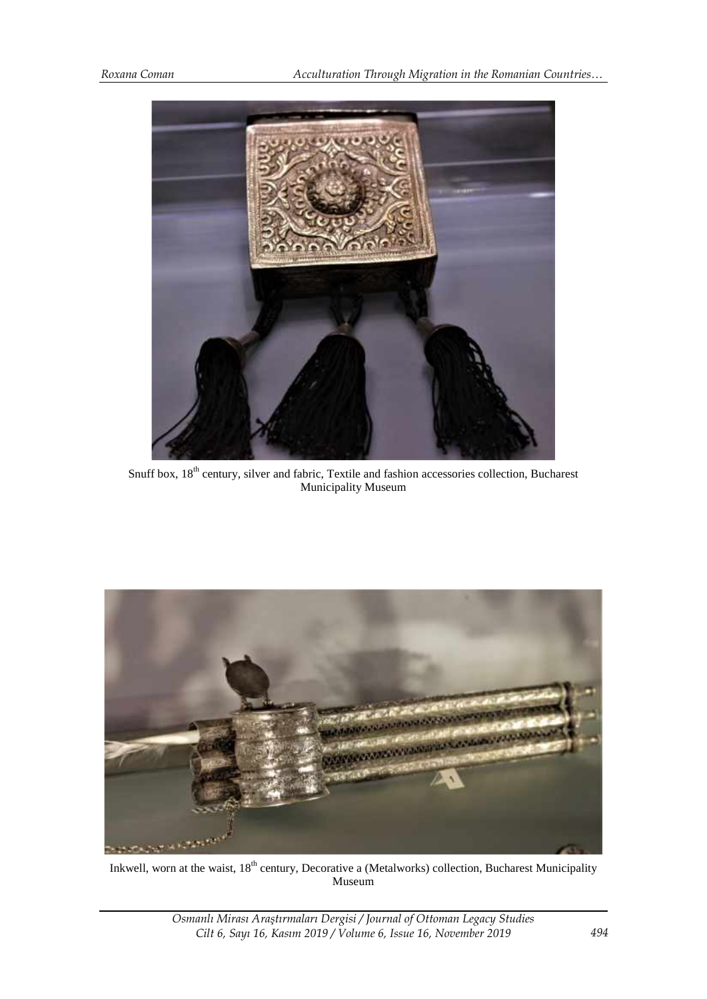

Snuff box,  $18^{th}$  century, silver and fabric, Textile and fashion accessories collection, Bucharest Municipality Museum



Inkwell, worn at the waist, 18<sup>th</sup> century, Decorative a (Metalworks) collection, Bucharest Municipality Museum